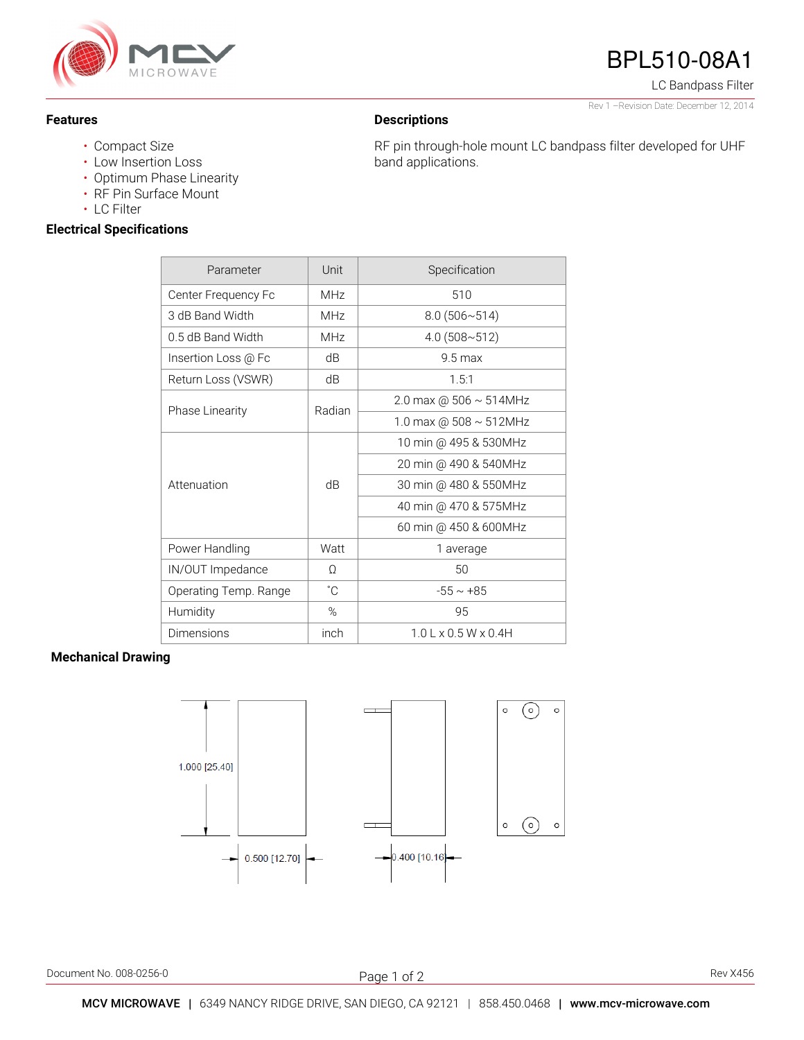

#### **Features**

#### • Compact Size

- Low Insertion Loss
- Optimum Phase Linearity
- RF Pin Surface Mount
- LC Filter

### **Electrical Specifications**

| Parameter              | Unit       | Specification                |
|------------------------|------------|------------------------------|
| Center Frequency Fc    | <b>MHz</b> | 510                          |
| 3 dB Band Width        | MHz        | $8.0(506 \times 514)$        |
| 0.5 dB Band Width      | <b>MHz</b> | $4.0(508 \times 512)$        |
| Insertion Loss @ Fc    | dB         | $9.5 \,\mathrm{max}$         |
| Return Loss (VSWR)     | dB         | 1.5:1                        |
| <b>Phase Linearity</b> | Radian     | 2.0 max @ $506 \sim 514$ MHz |
|                        |            | 1.0 max @ $508 \sim 512$ MHz |
| Attenuation            | dB         | 10 min @ 495 & 530MHz        |
|                        |            | 20 min @ 490 & 540MHz        |
|                        |            | 30 min @ 480 & 550MHz        |
|                        |            | 40 min @ 470 & 575MHz        |
|                        |            | 60 min @ 450 & 600MHz        |
| Power Handling         | Watt       | 1 average                    |
| IN/OUT Impedance       | Ω          | 50                           |
| Operating Temp. Range  | °C         | $-55 \sim +85$               |
| Humidity               | %          | 95                           |
| Dimensions             | inch       | $1.0$ L x 0.5 W x 0.4H       |

#### **Mechanical Drawing**



Document No. 008-0256-0 Rev X456

j Page 1 of 2

# BPL510-08A1

LC Bandpass Filter

Rev 1 –Revision Date: December 12, 2014

## **Descriptions**

RF pin through-hole mount LC bandpass filter developed for UHF band applications.